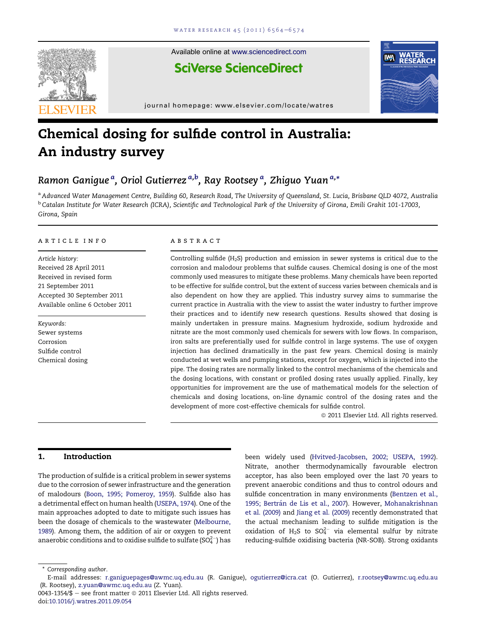

Available online at [www.sciencedirect.com](www.sciencedirect.com/science/journal/00431354)

**SciVerse ScienceDirect** 

journal homepage: [www.elsevier.com/locate/watres](http://www.elsevier.com/locate/watres)

# Chemical dosing for sulfide control in Australia: An industry survey

# Ramon Ganigueª, Oriol Gutierrez <sup>a,b</sup>, Ray Rootsey <sup>a</sup>, Zhiguo Yuan <sup>a,</sup>\*

a Advanced Water Management Centre, Building 60, Research Road, The University of Queensland, St. Lucia, Brisbane QLD 4072, Australia <sup>b</sup> Catalan Institute for Water Research (ICRA), Scientific and Technological Park of the University of Girona, Emili Grahit 101-17003, Girona, Spain

#### article info

Article history: Received 28 April 2011 Received in revised form 21 September 2011 Accepted 30 September 2011 Available online 6 October 2011

Keywords: Sewer systems Corrosion Sulfide control Chemical dosing

# **ABSTRACT**

Controlling sulfide (H2S) production and emission in sewer systems is critical due to the corrosion and malodour problems that sulfide causes. Chemical dosing is one of the most commonly used measures to mitigate these problems. Many chemicals have been reported to be effective for sulfide control, but the extent of success varies between chemicals and is also dependent on how they are applied. This industry survey aims to summarise the current practice in Australia with the view to assist the water industry to further improve their practices and to identify new research questions. Results showed that dosing is mainly undertaken in pressure mains. Magnesium hydroxide, sodium hydroxide and nitrate are the most commonly used chemicals for sewers with low flows. In comparison, iron salts are preferentially used for sulfide control in large systems. The use of oxygen injection has declined dramatically in the past few years. Chemical dosing is mainly conducted at wet wells and pumping stations, except for oxygen, which is injected into the pipe. The dosing rates are normally linked to the control mechanisms of the chemicals and the dosing locations, with constant or profiled dosing rates usually applied. Finally, key opportunities for improvement are the use of mathematical models for the selection of chemicals and dosing locations, on-line dynamic control of the dosing rates and the development of more cost-effective chemicals for sulfide control.

 $@$  2011 Elsevier Ltd. All rights reserved.

**WATER**<br>PESEAP

**IMA** 

#### 1. Introduction

The production of sulfide is a critical problem in sewer systems due to the corrosion of sewer infrastructure and the generation of malodours ([Boon, 1995; Pomeroy, 1959\)](#page-9-0). Sulfide also has a detrimental effect on human health [\(USEPA, 1974\)](#page-10-0). One of the main approaches adopted to date to mitigate such issues has been the dosage of chemicals to the wastewater ([Melbourne,](#page-9-0) [1989\)](#page-9-0). Among them, the addition of air or oxygen to prevent anaerobic conditions and to oxidise sulfide to sulfate (SO $_4^{2-}$ ) has

been widely used [\(Hvitved-Jacobsen, 2002; USEPA, 1992\)](#page-9-0). Nitrate, another thermodynamically favourable electron acceptor, has also been employed over the last 70 years to prevent anaerobic conditions and thus to control odours and sulfide concentration in many environments ([Bentzen et al.,](#page-9-0) 1995; Bertrán de Lis et al., 2007). However, [Mohanakrishnan](#page-9-0) [et al. \(2009\)](#page-9-0) and [Jiang et al. \(2009\)](#page-9-0) recently demonstrated that the actual mechanism leading to sulfide mitigation is the oxidation of  $H_2S$  to  $SO_4^{2-}$  via elemental sulfur by nitrate reducing-sulfide oxidising bacteria (NR-SOB). Strong oxidants

\* Corresponding author.

 $0043-1354/\$$  – see front matter  $\degree$  2011 Elsevier Ltd. All rights reserved. doi:[10.1016/j.watres.2011.09.054](http://dx.doi.org/10.1016/j.watres.2011.09.054)

E-mail addresses: [r.ganiguepages@awmc.uq.edu.au](mailto:r.ganiguepages@awmc.uq.edu.au) (R. Ganigue), [ogutierrez@icra.cat](mailto:ogutierrez@icra.cat) (O. Gutierrez), [r.rootsey@awmc.uq.edu.au](mailto:r.rootsey@awmc.uq.edu.au) (R. Rootsey), [z.yuan@awmc.uq.edu.au](mailto:z.yuan@awmc.uq.edu.au) (Z. Yuan).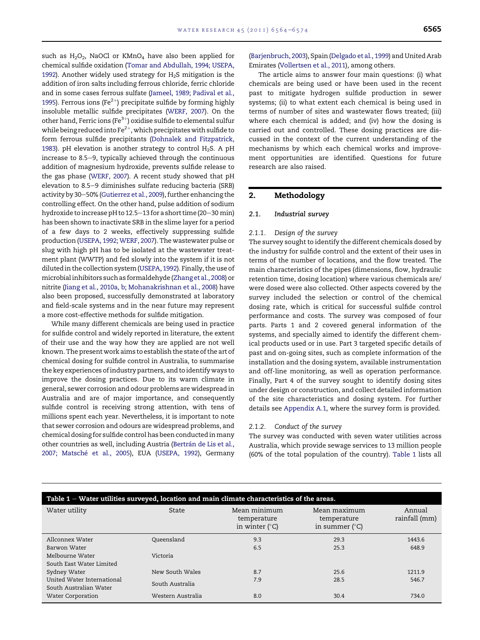such as  $H_2O_2$ , NaOCl or KMnO<sub>4</sub> have also been applied for chemical sulfide oxidation ([Tomar and Abdullah, 1994; USEPA,](#page-10-0) [1992](#page-10-0)). Another widely used strategy for  $H<sub>2</sub>S$  mitigation is the addition of iron salts including ferrous chloride, ferric chloride and in some cases ferrous sulfate [\(Jameel, 1989; Padival et al.,](#page-9-0) [1995](#page-9-0)). Ferrous ions (Fe<sup>2+</sup>) precipitate sulfide by forming highly insoluble metallic sulfide precipitates [\(WERF, 2007](#page-10-0)). On the other hand, Ferric ions (Fe $3+$ ) oxidise sulfide to elemental sulfur while being reduced into  $Fe^{2+}$ , which precipitates with sulfide to form ferrous sulfide precipitants [\(Dohnalek and Fitzpatrick,](#page-9-0) [1983](#page-9-0)). pH elevation is another strategy to control  $H_2S$ . A pH increase to 8.5–9, typically achieved through the continuous addition of magnesium hydroxide, prevents sulfide release to the gas phase ([WERF, 2007\)](#page-10-0). A recent study showed that pH elevation to 8.5-9 diminishes sulfate reducing bacteria (SRB) activity by 30-50% ([Gutierrez et al., 2009\)](#page-9-0), further enhancing the controlling effect. On the other hand, pulse addition of sodium hydroxide to increase pH to  $12.5-13$  for a short time (20-30 min) has been shown to inactivate SRB in the slime layer for a period of a few days to 2 weeks, effectively suppressing sulfide production [\(USEPA, 1992; WERF, 2007\)](#page-10-0). The wastewater pulse or slug with high pH has to be isolated at the wastewater treatment plant (WWTP) and fed slowly into the system if it is not diluted in the collection system [\(USEPA, 1992](#page-10-0)). Finally, the use of microbial inhibitors such as formaldehyde [\(Zhang et al., 2008](#page-10-0)) or nitrite [\(Jiang et al., 2010a, b; Mohanakrishnan et al., 2008\)](#page-9-0) have also been proposed, successfully demonstrated at laboratory and field-scale systems and in the near future may represent a more cost-effective methods for sulfide mitigation.

While many different chemicals are being used in practice for sulfide control and widely reported in literature, the extent of their use and the way how they are applied are not well known. The present work aims to establish the state of the art of chemical dosing for sulfide control in Australia, to summarise the key experiences of industry partners, and to identifyways to improve the dosing practices. Due to its warm climate in general, sewer corrosion and odour problems are widespread in Australia and are of major importance, and consequently sulfide control is receiving strong attention, with tens of millions spent each year. Nevertheless, it is important to note that sewer corrosion and odours are widespread problems, and chemical dosing for sulfide control has been conducted inmany other countries as well, including Austria (Bertrán de Lis et al., 2007; Matsché et al., 2005), EUA [\(USEPA, 1992\)](#page-10-0), Germany [\(Barjenbruch, 2003](#page-9-0)), Spain [\(Delgado et al., 1999](#page-9-0)) and United Arab Emirates [\(Vollertsen et al., 2011\)](#page-10-0), among others.

The article aims to answer four main questions: (i) what chemicals are being used or have been used in the recent past to mitigate hydrogen sulfide production in sewer systems; (ii) to what extent each chemical is being used in terms of number of sites and wastewater flows treated; (iii) where each chemical is added; and (iv) how the dosing is carried out and controlled. These dosing practices are discussed in the context of the current understanding of the mechanisms by which each chemical works and improvement opportunities are identified. Questions for future research are also raised.

# 2. Methodology

#### 2.1. Industrial survey

#### 2.1.1. Design of the survey

The survey sought to identify the different chemicals dosed by the industry for sulfide control and the extent of their uses in terms of the number of locations, and the flow treated. The main characteristics of the pipes (dimensions, flow, hydraulic retention time, dosing location) where various chemicals are/ were dosed were also collected. Other aspects covered by the survey included the selection or control of the chemical dosing rate, which is critical for successful sulfide control performance and costs. The survey was composed of four parts. Parts 1 and 2 covered general information of the systems, and specially aimed to identify the different chemical products used or in use. Part 3 targeted specific details of past and on-going sites, such as complete information of the installation and the dosing system, available instrumentation and off-line monitoring, as well as operation performance. Finally, Part 4 of the survey sought to identify dosing sites under design or construction, and collect detailed information of the site characteristics and dosing system. For further details see Appendix A.1, where the survey form is provided.

#### 2.1.2. Conduct of the survey

The survey was conducted with seven water utilities across Australia, which provide sewage services to 13 million people (60% of the total population of the country). Table 1 lists all

| Table 1 - Water utilities surveyed, location and main climate characteristics of the areas. |                   |                                                        |                                                        |                         |  |
|---------------------------------------------------------------------------------------------|-------------------|--------------------------------------------------------|--------------------------------------------------------|-------------------------|--|
| Water utility                                                                               | State             | Mean minimum<br>temperature<br>in winter $(^{\circ}C)$ | Mean maximum<br>temperature<br>in summer $(^{\circ}C)$ | Annual<br>rainfall (mm) |  |
| Allconnex Water                                                                             | Oueensland        | 9.3                                                    | 29.3                                                   | 1443.6                  |  |
| Barwon Water                                                                                |                   | 6.5                                                    | 25.3                                                   | 648.9                   |  |
| Melbourne Water                                                                             | Victoria          |                                                        |                                                        |                         |  |
| South East Water Limited                                                                    |                   |                                                        |                                                        |                         |  |
| Sydney Water                                                                                | New South Wales   | 8.7                                                    | 25.6                                                   | 1211.9                  |  |
| United Water International<br>South Australian Water                                        | South Australia   | 7.9                                                    | 28.5                                                   | 546.7                   |  |
| Water Corporation                                                                           | Western Australia | 8.0                                                    | 30.4                                                   | 734.0                   |  |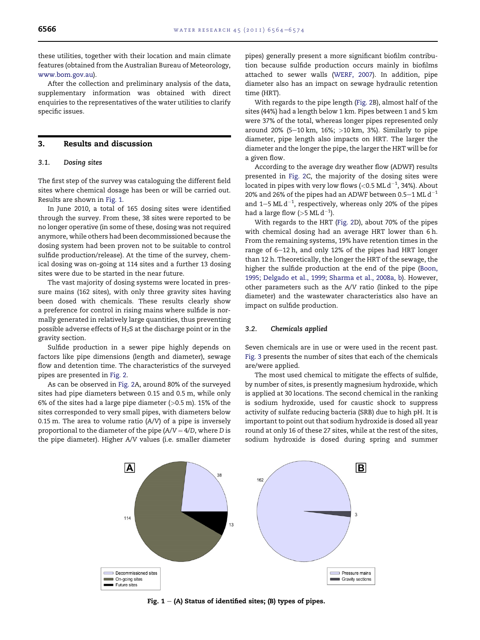these utilities, together with their location and main climate features (obtained from the Australian Bureau of Meteorology, [www.bom.gov.au\)](http://www.bom.gov.au).

After the collection and preliminary analysis of the data, supplementary information was obtained with direct enquiries to the representatives of the water utilities to clarify specific issues.

# 3. Results and discussion

# 3.1. Dosing sites

The first step of the survey was cataloguing the different field sites where chemical dosage has been or will be carried out. Results are shown in Fig. 1.

In June 2010, a total of 165 dosing sites were identified through the survey. From these, 38 sites were reported to be no longer operative (in some of these, dosing was not required anymore, while others had been decommissioned because the dosing system had been proven not to be suitable to control sulfide production/release). At the time of the survey, chemical dosing was on-going at 114 sites and a further 13 dosing sites were due to be started in the near future.

The vast majority of dosing systems were located in pressure mains (162 sites), with only three gravity sites having been dosed with chemicals. These results clearly show a preference for control in rising mains where sulfide is normally generated in relatively large quantities, thus preventing possible adverse effects of  $H_2S$  at the discharge point or in the gravity section.

Sulfide production in a sewer pipe highly depends on factors like pipe dimensions (length and diameter), sewage flow and detention time. The characteristics of the surveyed pipes are presented in [Fig. 2.](#page-3-0)

As can be observed in [Fig. 2](#page-3-0)A, around 80% of the surveyed sites had pipe diameters between 0.15 and 0.5 m, while only 6% of the sites had a large pipe diameter  $(>0.5$  m). 15% of the sites corresponded to very small pipes, with diameters below 0.15 m. The area to volume ratio (A/V) of a pipe is inversely proportional to the diameter of the pipe  $(A/V = 4/D)$ , where D is the pipe diameter). Higher A/V values (i.e. smaller diameter

pipes) generally present a more significant biofilm contribution because sulfide production occurs mainly in biofilms attached to sewer walls [\(WERF, 2007](#page-10-0)). In addition, pipe diameter also has an impact on sewage hydraulic retention time (HRT).

With regards to the pipe length [\(Fig. 2B](#page-3-0)), almost half of the sites (44%) had a length below 1 km. Pipes between 1 and 5 km were 37% of the total, whereas longer pipes represented only around 20% (5-10 km, 16%;  $>10$  km, 3%). Similarly to pipe diameter, pipe length also impacts on HRT. The larger the diameter and the longer the pipe, the larger the HRT will be for a given flow.

According to the average dry weather flow (ADWF) results presented in [Fig. 2](#page-3-0)C, the majority of the dosing sites were located in pipes with very low flows (<0.5 ML d $^{-1}$ , 34%). About 20% and 26% of the pipes had an ADWF between 0.5–1 ML  $d^{-1}$ and  $1-5$  ML  $d^{-1}$ , respectively, whereas only 20% of the pipes had a large flow (>5 ML  $d^{-1}$ ).

With regards to the HRT ([Fig. 2](#page-3-0)D), about 70% of the pipes with chemical dosing had an average HRT lower than 6 h. From the remaining systems, 19% have retention times in the range of 6-12 h, and only 12% of the pipes had HRT longer than 12 h. Theoretically, the longer the HRT of the sewage, the higher the sulfide production at the end of the pipe [\(Boon,](#page-9-0) [1995; Delgado et al., 1999; Sharma et al., 2008a, b\)](#page-9-0). However, other parameters such as the A/V ratio (linked to the pipe diameter) and the wastewater characteristics also have an impact on sulfide production.

#### 3.2. Chemicals applied

Seven chemicals are in use or were used in the recent past. [Fig. 3](#page-3-0) presents the number of sites that each of the chemicals are/were applied.

The most used chemical to mitigate the effects of sulfide, by number of sites, is presently magnesium hydroxide, which is applied at 30 locations. The second chemical in the ranking is sodium hydroxide, used for caustic shock to suppress activity of sulfate reducing bacteria (SRB) due to high pH. It is important to point out that sodium hydroxide is dosed all year round at only 16 of these 27 sites, while at the rest of the sites, sodium hydroxide is dosed during spring and summer



Fig.  $1 - (A)$  Status of identified sites; (B) types of pipes.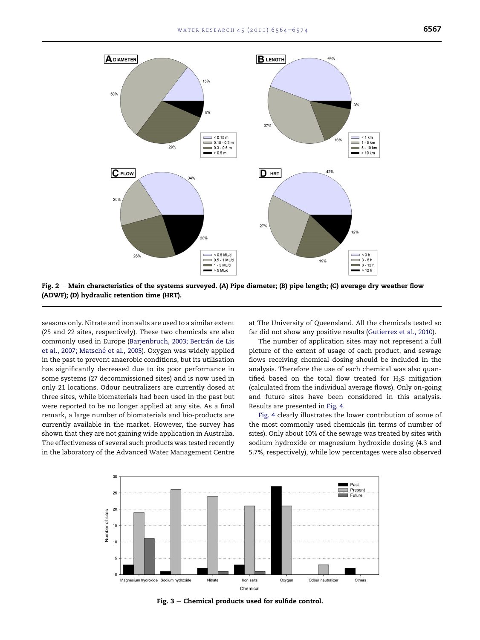<span id="page-3-0"></span>

Fig.  $2 -$  Main characteristics of the systems surveyed. (A) Pipe diameter; (B) pipe length; (C) average dry weather flow (ADWF); (D) hydraulic retention time (HRT).

seasons only. Nitrate and iron salts are used to a similar extent (25 and 22 sites, respectively). These two chemicals are also commonly used in Europe (Barjenbruch, 2003; Bertrán de Lis et al., 2007; Matsché et al., 2005). Oxygen was widely applied in the past to prevent anaerobic conditions, but its utilisation has significantly decreased due to its poor performance in some systems (27 decommissioned sites) and is now used in only 21 locations. Odour neutralizers are currently dosed at three sites, while biomaterials had been used in the past but were reported to be no longer applied at any site. As a final remark, a large number of biomaterials and bio-products are currently available in the market. However, the survey has shown that they are not gaining wide application in Australia. The effectiveness of several such products was tested recently in the laboratory of the Advanced Water Management Centre at The University of Queensland. All the chemicals tested so far did not show any positive results ([Gutierrez et al., 2010\)](#page-9-0).

The number of application sites may not represent a full picture of the extent of usage of each product, and sewage flows receiving chemical dosing should be included in the analysis. Therefore the use of each chemical was also quantified based on the total flow treated for  $H_2S$  mitigation (calculated from the individual average flows). Only on-going and future sites have been considered in this analysis. Results are presented in [Fig. 4.](#page-4-0)

[Fig. 4](#page-4-0) clearly illustrates the lower contribution of some of the most commonly used chemicals (in terms of number of sites). Only about 10% of the sewage was treated by sites with sodium hydroxide or magnesium hydroxide dosing (4.3 and 5.7%, respectively), while low percentages were also observed



Fig.  $3$  – Chemical products used for sulfide control.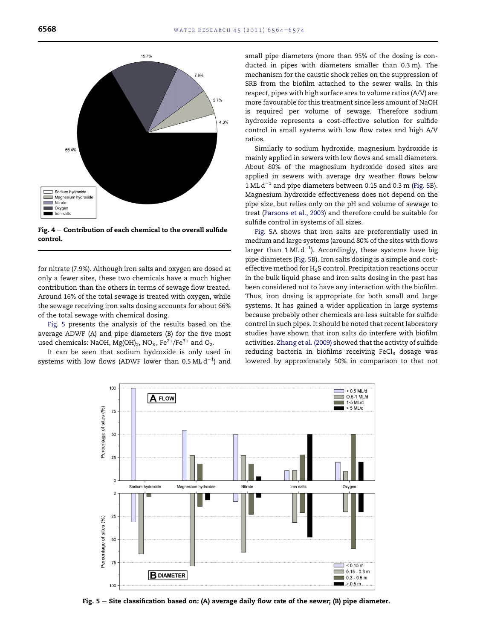<span id="page-4-0"></span>

Fig.  $4$  – Contribution of each chemical to the overall sulfide control.

for nitrate (7.9%). Although iron salts and oxygen are dosed at only a fewer sites, these two chemicals have a much higher contribution than the others in terms of sewage flow treated. Around 16% of the total sewage is treated with oxygen, while the sewage receiving iron salts dosing accounts for about 66% of the total sewage with chemical dosing.

Fig. 5 presents the analysis of the results based on the average ADWF (A) and pipe diameters (B) for the five most used chemicals: NaOH, Mg(OH) $_2$ , NO $_3^-$ , Fe $^{2+}/{\rm Fe}^{3+}$  and O $_2$ .

It can be seen that sodium hydroxide is only used in systems with low flows (ADWF lower than 0.5 ML  $\rm{d}^{-1})$  and

small pipe diameters (more than 95% of the dosing is conducted in pipes with diameters smaller than 0.3 m). The mechanism for the caustic shock relies on the suppression of SRB from the biofilm attached to the sewer walls. In this respect, pipes with high surface area to volume ratios (A/V) are more favourable for this treatment since less amount of NaOH is required per volume of sewage. Therefore sodium hydroxide represents a cost-effective solution for sulfide control in small systems with low flow rates and high A/V ratios.

Similarly to sodium hydroxide, magnesium hydroxide is mainly applied in sewers with low flows and small diameters. About 80% of the magnesium hydroxide dosed sites are applied in sewers with average dry weather flows below 1 ML  $d^{-1}$  and pipe diameters between 0.15 and 0.3 m (Fig. 5B). Magnesium hydroxide effectiveness does not depend on the pipe size, but relies only on the pH and volume of sewage to treat ([Parsons et al., 2003](#page-9-0)) and therefore could be suitable for sulfide control in systems of all sizes.

Fig. 5A shows that iron salts are preferentially used in medium and large systems (around 80% of the sites with flows larger than  $1 \text{ ML } d^{-1}$ ). Accordingly, these systems have big pipe diameters (Fig. 5B). Iron salts dosing is a simple and costeffective method for  $H_2S$  control. Precipitation reactions occur in the bulk liquid phase and iron salts dosing in the past has been considered not to have any interaction with the biofilm. Thus, iron dosing is appropriate for both small and large systems. It has gained a wider application in large systems because probably other chemicals are less suitable for sulfide control in such pipes. It should be noted that recent laboratory studies have shown that iron salts do interfere with biofilm activities. [Zhang et al. \(2009\)](#page-10-0) showed that the activity of sulfide reducing bacteria in biofilms receiving  $FeCl<sub>3</sub>$  dosage was lowered by approximately 50% in comparison to that not



Fig.  $5 -$  Site classification based on: (A) average daily flow rate of the sewer; (B) pipe diameter.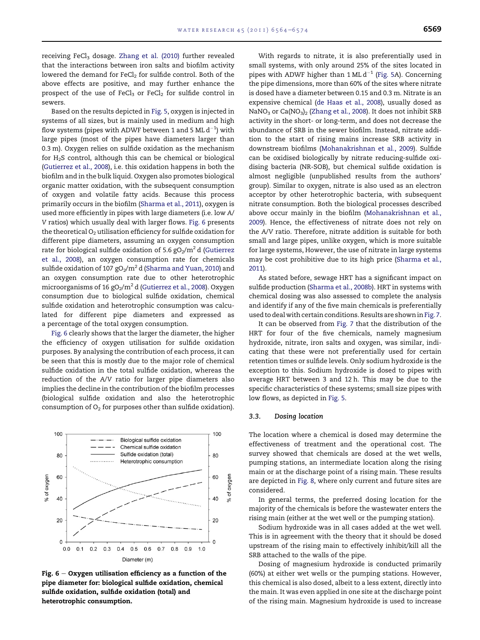receiving FeCl<sub>3</sub> dosage. [Zhang et al. \(2010\)](#page-10-0) further revealed that the interactions between iron salts and biofilm activity lowered the demand for FeCl<sub>2</sub> for sulfide control. Both of the above effects are positive, and may further enhance the prospect of the use of FeCl<sub>3</sub> or FeCl<sub>2</sub> for sulfide control in sewers.

Based on the results depicted in [Fig. 5,](#page-4-0) oxygen is injected in systems of all sizes, but is mainly used in medium and high flow systems (pipes with ADWF between 1 and 5 ML  $\rm{d}^{-1})$  with large pipes (most of the pipes have diameters larger than 0.3 m). Oxygen relies on sulfide oxidation as the mechanism for H2S control, although this can be chemical or biological [\(Gutierrez et al., 2008](#page-9-0)), i.e. this oxidation happens in both the biofilm and in the bulk liquid. Oxygen also promotes biological organic matter oxidation, with the subsequent consumption of oxygen and volatile fatty acids. Because this process primarily occurs in the biofilm [\(Sharma et al., 2011\)](#page-10-0), oxygen is used more efficiently in pipes with large diameters (i.e. low A/ V ratios) which usually deal with larger flows. Fig. 6 presents the theoretical  $O_2$  utilisation efficiency for sulfide oxidation for different pipe diameters, assuming an oxygen consumption rate for biological sulfide oxidation of 5.6  $gO<sub>2</sub>/m<sup>2</sup>$ d ([Gutierrez](#page-9-0) [et al., 2008\)](#page-9-0), an oxygen consumption rate for chemicals sulfide oxidation of 107  $gO<sub>2</sub>/m<sup>2</sup>$  d [\(Sharma and Yuan, 2010](#page-9-0)) and an oxygen consumption rate due to other heterotrophic microorganisms of 16 gO<sub>2</sub>/m<sup>2</sup> d [\(Gutierrez et al., 2008\)](#page-9-0). Oxygen consumption due to biological sulfide oxidation, chemical sulfide oxidation and heterotrophic consumption was calculated for different pipe diameters and expressed as a percentage of the total oxygen consumption.

Fig. 6 clearly shows that the larger the diameter, the higher the efficiency of oxygen utilisation for sulfide oxidation purposes. By analysing the contribution of each process, it can be seen that this is mostly due to the major role of chemical sulfide oxidation in the total sulfide oxidation, whereas the reduction of the A/V ratio for larger pipe diameters also implies the decline in the contribution of the biofilm processes (biological sulfide oxidation and also the heterotrophic consumption of  $O_2$  for purposes other than sulfide oxidation).



Fig.  $6 - Oxy$ gen utilisation efficiency as a function of the pipe diameter for: biological sulfide oxidation, chemical sulfide oxidation, sulfide oxidation (total) and heterotrophic consumption.

With regards to nitrate, it is also preferentially used in small systems, with only around 25% of the sites located in pipes with ADWF higher than 1 ML  $d^{-1}$  ([Fig. 5A](#page-4-0)). Concerning the pipe dimensions, more than 60% of the sites where nitrate is dosed have a diameter between 0.15 and 0.3 m. Nitrate is an expensive chemical [\(de Haas et al., 2008\)](#page-9-0), usually dosed as NaNO<sub>3</sub> or Ca(NO<sub>3</sub>)<sub>2</sub> ([Zhang et al., 2008\)](#page-10-0). It does not inhibit SRB activity in the short- or long-term, and does not decrease the abundance of SRB in the sewer biofilm. Instead, nitrate addition to the start of rising mains increase SRB activity in downstream biofilms [\(Mohanakrishnan et al., 2009](#page-9-0)). Sulfide can be oxidised biologically by nitrate reducing-sulfide oxidising bacteria (NR-SOB), but chemical sulfide oxidation is almost negligible (unpublished results from the authors' group). Similar to oxygen, nitrate is also used as an electron acceptor by other heterotrophic bacteria, with subsequent nitrate consumption. Both the biological processes described above occur mainly in the biofilm [\(Mohanakrishnan et al.,](#page-9-0) [2009](#page-9-0)). Hence, the effectiveness of nitrate does not rely on the A/V ratio. Therefore, nitrate addition is suitable for both small and large pipes, unlike oxygen, which is more suitable for large systems, However, the use of nitrate in large systems may be cost prohibitive due to its high price [\(Sharma et al.,](#page-10-0) [2011](#page-10-0)).

As stated before, sewage HRT has a significant impact on sulfide production [\(Sharma et al., 2008b](#page-10-0)). HRT in systems with chemical dosing was also assessed to complete the analysis and identify if any of the five main chemicals is preferentially used to deal with certain conditions. Results are shown in [Fig. 7.](#page-6-0)

It can be observed from [Fig. 7](#page-6-0) that the distribution of the HRT for four of the five chemicals, namely magnesium hydroxide, nitrate, iron salts and oxygen, was similar, indicating that these were not preferentially used for certain retention times or sulfide levels. Only sodium hydroxide is the exception to this. Sodium hydroxide is dosed to pipes with average HRT between 3 and 12 h. This may be due to the specific characteristics of these systems; small size pipes with low flows, as depicted in [Fig. 5.](#page-4-0)

#### 3.3. Dosing location

The location where a chemical is dosed may determine the effectiveness of treatment and the operational cost. The survey showed that chemicals are dosed at the wet wells, pumping stations, an intermediate location along the rising main or at the discharge point of a rising main. These results are depicted in [Fig. 8,](#page-6-0) where only current and future sites are considered.

In general terms, the preferred dosing location for the majority of the chemicals is before the wastewater enters the rising main (either at the wet well or the pumping station).

Sodium hydroxide was in all cases added at the wet well. This is in agreement with the theory that it should be dosed upstream of the rising main to effectively inhibit/kill all the SRB attached to the walls of the pipe.

Dosing of magnesium hydroxide is conducted primarily (60%) at either wet wells or the pumping stations. However, this chemical is also dosed, albeit to a less extent, directly into the main. It was even applied in one site at the discharge point of the rising main. Magnesium hydroxide is used to increase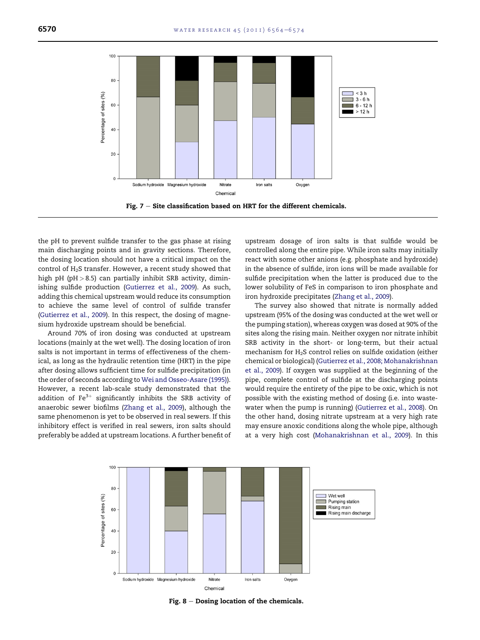<span id="page-6-0"></span>

the pH to prevent sulfide transfer to the gas phase at rising main discharging points and in gravity sections. Therefore, the dosing location should not have a critical impact on the control of  $H_2S$  transfer. However, a recent study showed that high pH ( $pH > 8.5$ ) can partially inhibit SRB activity, diminishing sulfide production ([Gutierrez et al., 2009](#page-9-0)). As such, adding this chemical upstream would reduce its consumption to achieve the same level of control of sulfide transfer ([Gutierrez et al., 2009](#page-9-0)). In this respect, the dosing of magnesium hydroxide upstream should be beneficial.

Around 70% of iron dosing was conducted at upstream locations (mainly at the wet well). The dosing location of iron salts is not important in terms of effectiveness of the chemical, as long as the hydraulic retention time (HRT) in the pipe after dosing allows sufficient time for sulfide precipitation (in the order of seconds according to [Wei and Osseo-Asare \(1995\)\)](#page-10-0). However, a recent lab-scale study demonstrated that the addition of  $Fe^{3+}$  significantly inhibits the SRB activity of anaerobic sewer biofilms ([Zhang et al., 2009](#page-10-0)), although the same phenomenon is yet to be observed in real sewers. If this inhibitory effect is verified in real sewers, iron salts should preferably be added at upstream locations. A further benefit of upstream dosage of iron salts is that sulfide would be controlled along the entire pipe. While iron salts may initially react with some other anions (e.g. phosphate and hydroxide) in the absence of sulfide, iron ions will be made available for sulfide precipitation when the latter is produced due to the lower solubility of FeS in comparison to iron phosphate and iron hydroxide precipitates [\(Zhang et al., 2009\)](#page-10-0).

The survey also showed that nitrate is normally added upstream (95% of the dosing was conducted at the wet well or the pumping station), whereas oxygen was dosed at 90% of the sites along the rising main. Neither oxygen nor nitrate inhibit SRB activity in the short- or long-term, but their actual mechanism for H2S control relies on sulfide oxidation (either chemical or biological) ([Gutierrez et al., 2008; Mohanakrishnan](#page-9-0) [et al., 2009](#page-9-0)). If oxygen was supplied at the beginning of the pipe, complete control of sulfide at the discharging points would require the entirety of the pipe to be oxic, which is not possible with the existing method of dosing (i.e. into wastewater when the pump is running) ([Gutierrez et al., 2008\)](#page-9-0). On the other hand, dosing nitrate upstream at a very high rate may ensure anoxic conditions along the whole pipe, although at a very high cost ([Mohanakrishnan et al., 2009](#page-9-0)). In this



Fig.  $8 -$  Dosing location of the chemicals.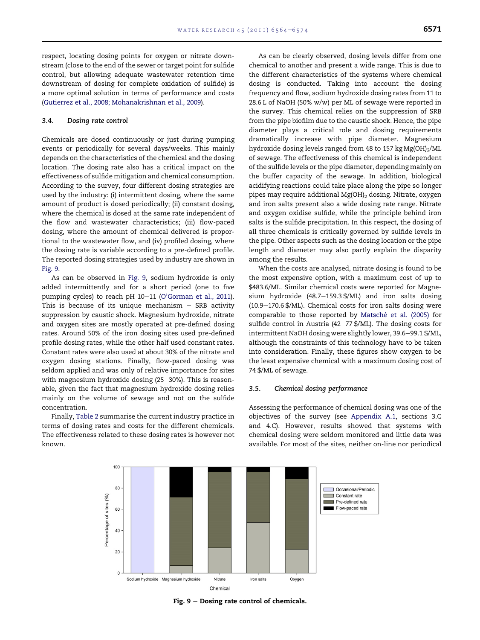respect, locating dosing points for oxygen or nitrate downstream (close to the end of the sewer or target point for sulfide control, but allowing adequate wastewater retention time downstream of dosing for complete oxidation of sulfide) is a more optimal solution in terms of performance and costs [\(Gutierrez et al., 2008; Mohanakrishnan et al., 2009](#page-9-0)).

#### 3.4. Dosing rate control

Chemicals are dosed continuously or just during pumping events or periodically for several days/weeks. This mainly depends on the characteristics of the chemical and the dosing location. The dosing rate also has a critical impact on the effectiveness of sulfide mitigation and chemical consumption. According to the survey, four different dosing strategies are used by the industry: (i) intermittent dosing, where the same amount of product is dosed periodically; (ii) constant dosing, where the chemical is dosed at the same rate independent of the flow and wastewater characteristics; (iii) flow-paced dosing, where the amount of chemical delivered is proportional to the wastewater flow, and (iv) profiled dosing, where the dosing rate is variable according to a pre-defined profile. The reported dosing strategies used by industry are shown in Fig. 9.

As can be observed in Fig. 9, sodium hydroxide is only added intermittently and for a short period (one to five pumping cycles) to reach pH 10–11 ([O'Gorman et al., 2011](#page-9-0)). This is because of its unique mechanism  $-$  SRB activity suppression by caustic shock. Magnesium hydroxide, nitrate and oxygen sites are mostly operated at pre-defined dosing rates. Around 50% of the iron dosing sites used pre-defined profile dosing rates, while the other half used constant rates. Constant rates were also used at about 30% of the nitrate and oxygen dosing stations. Finally, flow-paced dosing was seldom applied and was only of relative importance for sites with magnesium hydroxide dosing (25-30%). This is reasonable, given the fact that magnesium hydroxide dosing relies mainly on the volume of sewage and not on the sulfide concentration.

Finally, [Table 2](#page-8-0) summarise the current industry practice in terms of dosing rates and costs for the different chemicals. The effectiveness related to these dosing rates is however not known.

As can be clearly observed, dosing levels differ from one chemical to another and present a wide range. This is due to the different characteristics of the systems where chemical dosing is conducted. Taking into account the dosing frequency and flow, sodium hydroxide dosing rates from 11 to 28.6 L of NaOH (50% w/w) per ML of sewage were reported in the survey. This chemical relies on the suppression of SRB from the pipe biofilm due to the caustic shock. Hence, the pipe diameter plays a critical role and dosing requirements dramatically increase with pipe diameter. Magnesium hydroxide dosing levels ranged from 48 to 157 kg Mg(OH)<sub>2</sub>/ML of sewage. The effectiveness of this chemical is independent of the sulfide levels or the pipe diameter, depending mainly on the buffer capacity of the sewage. In addition, biological acidifying reactions could take place along the pipe so longer pipes may require additional Mg(OH)<sub>2</sub> dosing. Nitrate, oxygen and iron salts present also a wide dosing rate range. Nitrate and oxygen oxidise sulfide, while the principle behind iron salts is the sulfide precipitation. In this respect, the dosing of all three chemicals is critically governed by sulfide levels in the pipe. Other aspects such as the dosing location or the pipe length and diameter may also partly explain the disparity among the results.

When the costs are analysed, nitrate dosing is found to be the most expensive option, with a maximum cost of up to \$483.6/ML. Similar chemical costs were reported for Magnesium hydroxide  $(48.7-159.3 \frac{4}{3}$ ML) and iron salts dosing  $(10.9-170.6 \frac{4}{M}$ . Chemical costs for iron salts dosing were comparable to those reported by Matsché [et al. \(2005\)](#page-9-0) for sulfide control in Austria (42–77  $\frac{1}{2}$  /ML). The dosing costs for intermittent NaOH dosing were slightly lower, 39.6-99.1 \$/ML, although the constraints of this technology have to be taken into consideration. Finally, these figures show oxygen to be the least expensive chemical with a maximum dosing cost of 74 \$/ML of sewage.

#### 3.5. Chemical dosing performance

Assessing the performance of chemical dosing was one of the objectives of the survey (see Appendix A.1, sections 3.C and 4.C). However, results showed that systems with chemical dosing were seldom monitored and little data was available. For most of the sites, neither on-line nor periodical



Fig.  $9 -$  Dosing rate control of chemicals.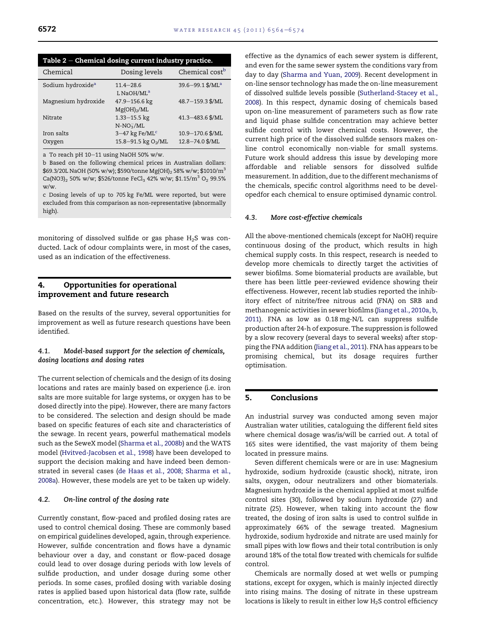<span id="page-8-0"></span>

| Table $2$ – Chemical dosing current industry practice. |                                 |                              |  |  |  |
|--------------------------------------------------------|---------------------------------|------------------------------|--|--|--|
| Chemical                                               | Dosing levels                   | Chemical cost <sup>b</sup>   |  |  |  |
| Sodium hydroxide <sup>a</sup>                          | $11.4 - 28.6$                   | 39.6-99.1 \$/ML <sup>a</sup> |  |  |  |
|                                                        | L NaOH/ML <sup>a</sup>          |                              |  |  |  |
| Magnesium hydroxide                                    | 47.9-156.6 kg                   | 48.7-159.3 \$/ML             |  |  |  |
|                                                        | $Mg(OH)_{2}/ML$                 |                              |  |  |  |
| Nitrate                                                | $1.33 - 15.5$ kg                | 41.3-483.6 \$/ML             |  |  |  |
|                                                        | $N-NO_3^-/ML$                   |                              |  |  |  |
| Iron salts                                             | $3-47$ kg Fe/ML <sup>c</sup>    | 10.9-170.6 \$/ML             |  |  |  |
| Oxygen                                                 | 15.8-91.5 kg O <sub>2</sub> /ML | 12.8-74.0 \$/ML              |  |  |  |

a To reach pH  $10-11$  using NaOH 50% w/w.

b Based on the following chemical prices in Australian dollars: \$69.3/20L NaOH (50% w/w); \$590/tonne Mg(OH)<sub>2</sub> 58% w/w; \$1010/m<sup>3</sup> Ca(NO3)<sub>2</sub> 50% w/w; \$526/tonne FeCl<sub>3</sub> 42% w/w; \$1.15/m<sup>3</sup> O<sub>2</sub> 99.5% w/w.

c Dosing levels of up to 705 kg Fe/ML were reported, but were excluded from this comparison as non-representative (abnormally high).

monitoring of dissolved sulfide or gas phase  $H_2S$  was conducted. Lack of odour complaints were, in most of the cases, used as an indication of the effectiveness.

# 4. Opportunities for operational improvement and future research

Based on the results of the survey, several opportunities for improvement as well as future research questions have been identified.

# 4.1. Model-based support for the selection of chemicals, dosing locations and dosing rates

The current selection of chemicals and the design of its dosing locations and rates are mainly based on experience (i.e. iron salts are more suitable for large systems, or oxygen has to be dosed directly into the pipe). However, there are many factors to be considered. The selection and design should be made based on specific features of each site and characteristics of the sewage. In recent years, powerful mathematical models such as the SeweX model [\(Sharma et al., 2008b](#page-10-0)) and the WATS model ([Hvitved-Jacobsen et al., 1998\)](#page-9-0) have been developed to support the decision making and have indeed been demonstrated in several cases ([de Haas et al., 2008; Sharma et al.,](#page-9-0) [2008a](#page-9-0)). However, these models are yet to be taken up widely.

# 4.2. On-line control of the dosing rate

Currently constant, flow-paced and profiled dosing rates are used to control chemical dosing. These are commonly based on empirical guidelines developed, again, through experience. However, sulfide concentration and flows have a dynamic behaviour over a day, and constant or flow-paced dosage could lead to over dosage during periods with low levels of sulfide production, and under dosage during some other periods. In some cases, profiled dosing with variable dosing rates is applied based upon historical data (flow rate, sulfide concentration, etc.). However, this strategy may not be

effective as the dynamics of each sewer system is different, and even for the same sewer system the conditions vary from day to day ([Sharma and Yuan, 2009](#page-9-0)). Recent development in on-line sensor technology has made the on-line measurement of dissolved sulfide levels possible [\(Sutherland-Stacey et al.,](#page-10-0) [2008\)](#page-10-0). In this respect, dynamic dosing of chemicals based upon on-line measurement of parameters such as flow rate and liquid phase sulfide concentration may achieve better sulfide control with lower chemical costs. However, the current high price of the dissolved sulfide sensors makes online control economically non-viable for small systems. Future work should address this issue by developing more affordable and reliable sensors for dissolved sulfide measurement. In addition, due to the different mechanisms of the chemicals, specific control algorithms need to be developedfor each chemical to ensure optimised dynamic control.

#### 4.3. More cost-effective chemicals

All the above-mentioned chemicals (except for NaOH) require continuous dosing of the product, which results in high chemical supply costs. In this respect, research is needed to develop more chemicals to directly target the activities of sewer biofilms. Some biomaterial products are available, but there has been little peer-reviewed evidence showing their effectiveness. However, recent lab studies reported the inhibitory effect of nitrite/free nitrous acid (FNA) on SRB and methanogenic activities in sewer biofilms ([Jiang et al., 2010a, b,](#page-9-0) [2011\)](#page-9-0). FNA as low as 0.18 mg-N/L can suppress sulfide production after 24-h of exposure. The suppression is followed by a slow recovery (several days to several weeks) after stopping the FNA addition [\(Jiang et al., 2011\)](#page-9-0). FNA has appears to be promising chemical, but its dosage requires further optimisation.

#### 5. Conclusions

An industrial survey was conducted among seven major Australian water utilities, cataloguing the different field sites where chemical dosage was/is/will be carried out. A total of 165 sites were identified, the vast majority of them being located in pressure mains.

Seven different chemicals were or are in use: Magnesium hydroxide, sodium hydroxide (caustic shock), nitrate, iron salts, oxygen, odour neutralizers and other biomaterials. Magnesium hydroxide is the chemical applied at most sulfide control sites (30), followed by sodium hydroxide (27) and nitrate (25). However, when taking into account the flow treated, the dosing of iron salts is used to control sulfide in approximately 66% of the sewage treated. Magnesium hydroxide, sodium hydroxide and nitrate are used mainly for small pipes with low flows and their total contribution is only around 18% of the total flow treated with chemicals for sulfide control.

Chemicals are normally dosed at wet wells or pumping stations, except for oxygen, which is mainly injected directly into rising mains. The dosing of nitrate in these upstream locations is likely to result in either low  $H<sub>2</sub>S$  control efficiency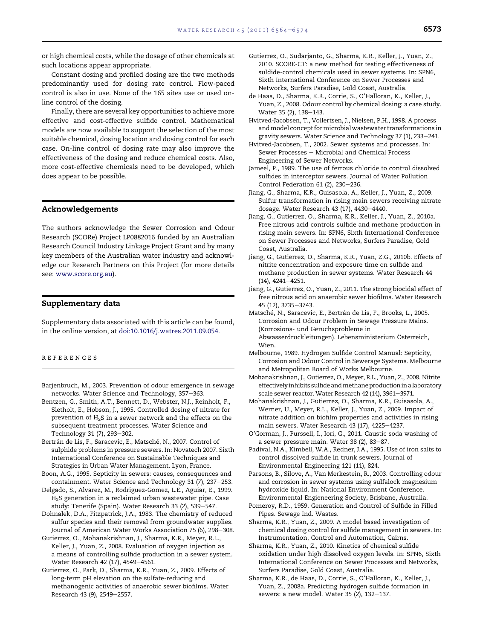<span id="page-9-0"></span>or high chemical costs, while the dosage of other chemicals at such locations appear appropriate.

Constant dosing and profiled dosing are the two methods predominantly used for dosing rate control. Flow-paced control is also in use. None of the 165 sites use or used online control of the dosing.

Finally, there are several key opportunities to achieve more effective and cost-effective sulfide control. Mathematical models are now available to support the selection of the most suitable chemical, dosing location and dosing control for each case. On-line control of dosing rate may also improve the effectiveness of the dosing and reduce chemical costs. Also, more cost-effective chemicals need to be developed, which does appear to be possible.

# Acknowledgements

The authors acknowledge the Sewer Corrosion and Odour Research (SCORe) Project LP0882016 funded by an Australian Research Council Industry Linkage Project Grant and by many key members of the Australian water industry and acknowledge our Research Partners on this Project (for more details see: [www.score.org.au\)](http://www.score.org.au).

# Supplementary data

Supplementary data associated with this article can be found, in the online version, at [doi:10.1016/j.watres.2011.09.054.](http://dx.doi.org/10.1016/j.watres.2011.09.054)

#### references

- Barjenbruch, M., 2003. Prevention of odour emergence in sewage networks. Water Science and Technology, 357-363.
- Bentzen, G., Smith, A.T., Bennett, D., Webster, N.J., Reinholt, F., Sletholt, E., Hobson, J., 1995. Controlled dosing of nitrate for prevention of H2S in a sewer network and the effects on the subsequent treatment processes. Water Science and Technology 31 (7), 293-302.
- Bertrán de Lis, F., Saracevic, E., Matsché, N., 2007. Control of sulphide problems in pressure sewers. In: Novatech 2007. Sixth International Conference on Sustainable Techniques and Strategies in Urban Water Management. Lyon, France.
- Boon, A.G., 1995. Septicity in sewers: causes, consequences and containment. Water Science and Technology 31 (7), 237-253.
- Delgado, S., Alvarez, M., Rodriguez-Gomez, L.E., Aguiar, E., 1999. H2S generation in a reclaimed urban wastewater pipe. Case study: Tenerife (Spain). Water Research 33 (2), 539-547.
- Dohnalek, D.A., Fitzpatrick, J.A., 1983. The chemistry of reduced sulfur species and their removal from groundwater supplies. Journal of American Water Works Association 75 (6), 298-308.
- Gutierrez, O., Mohanakrishnan, J., Sharma, K.R., Meyer, R.L., Keller, J., Yuan, Z., 2008. Evaluation of oxygen injection as a means of controlling sulfide production in a sewer system. Water Research 42 (17), 4549-4561.
- Gutierrez, O., Park, D., Sharma, K.R., Yuan, Z., 2009. Effects of long-term pH elevation on the sulfate-reducing and methanogenic activities of anaerobic sewer biofilms. Water Research 43 (9), 2549-2557.
- Gutierrez, O., Sudarjanto, G., Sharma, K.R., Keller, J., Yuan, Z., 2010. SCORE-CT: a new method for testing effectiveness of suldide-control chemicals used in sewer systems. In: SPN6, Sixth International Conference on Sewer Processes and Networks, Surfers Paradise, Gold Coast, Australia.
- de Haas, D., Sharma, K.R., Corrie, S., O'Halloran, K., Keller, J., Yuan, Z., 2008. Odour control by chemical dosing: a case study. Water 35 (2), 138-143.
- Hvitved-Jacobsen, T., Vollertsen, J., Nielsen, P.H., 1998. A process andmodel concept formicrobialwastewater transformations in gravity sewers. Water Science and Technology 37 (1), 233-241.
- Hvitved-Jacobsen, T., 2002. Sewer systems and processes. In: Sewer Processes - Microbial and Chemical Process Engineering of Sewer Networks.
- Jameel, P., 1989. The use of ferrous chloride to control dissolved sulfides in interceptor sewers. Journal of Water Pollution Control Federation 61 (2),  $230-236$ .
- Jiang, G., Sharma, K.R., Guisasola, A., Keller, J., Yuan, Z., 2009. Sulfur transformation in rising main sewers receiving nitrate dosage. Water Research 43 (17), 4430-4440.
- Jiang, G., Gutierrez, O., Sharma, K.R., Keller, J., Yuan, Z., 2010a. Free nitrous acid controls sulfide and methane production in rising main sewers. In: SPN6, Sixth International Conference on Sewer Processes and Networks, Surfers Paradise, Gold Coast, Australia.
- Jiang, G., Gutierrez, O., Sharma, K.R., Yuan, Z.G., 2010b. Effects of nitrite concentration and exposure time on sulfide and methane production in sewer systems. Water Research 44  $(14), 4241 - 4251.$
- Jiang, G., Gutierrez, O., Yuan, Z., 2011. The strong biocidal effect of free nitrous acid on anaerobic sewer biofilms. Water Research 45 (12), 3735-3743.
- Matsché, N., Saracevic, E., Bertrán de Lis, F., Brooks, L., 2005. Corrosion and Odour Problem in Sewage Pressure Mains. (Korrosions- und Geruchsprobleme in Abwasserdruckleitungen). Lebensministerium Österreich, Wien.
- Melbourne, 1989. Hydrogen Sulfide Control Manual: Septicity, Corrosion and Odour Control in Sewerage Systems. Melbourne and Metropolitan Board of Works Melbourne.
- Mohanakrishnan, J., Gutierrez, O., Meyer, R.L., Yuan, Z., 2008. Nitrite effectively inhibits sulfide andmethane production in a laboratory scale sewer reactor. Water Research 42 (14), 3961-3971.
- Mohanakrishnan, J., Gutierrez, O., Sharma, K.R., Guisasola, A., Werner, U., Meyer, R.L., Keller, J., Yuan, Z., 2009. Impact of nitrate addition on biofilm properties and activities in rising main sewers. Water Research 43 (17), 4225-4237.
- O'Gorman, J., Purssell, I., Iori, G., 2011. Caustic soda washing of a sewer pressure main. Water 38 (2),  $83-87$ .
- Padival, N.A., Kimbell, W.A., Redner, J.A., 1995. Use of iron salts to control dissolved sulfide in trunk sewers. Journal of Environmental Engineering 121 (11), 824.
- Parsons, B., Silove, A., Van Merkestein, R., 2003. Controlling odour and corrosion in sewer systems using sulfalock magnesium hydroxide liquid. In: National Environment Conference. Environmental Engieneering Society, Brisbane, Australia.
- Pomeroy, R.D., 1959. Generation and Control of Sulfide in Filled Pipes. Sewage Ind. Wastes.
- Sharma, K.R., Yuan, Z., 2009. A model based investigation of chemical dosing control for sulfide management in sewers. In: Instrumentation, Control and Automation, Cairns.
- Sharma, K.R., Yuan, Z., 2010. Kinetics of chemical sulfide oxidation under high dissolved oxygen levels. In: SPN6, Sixth International Conference on Sewer Processes and Networks, Surfers Paradise, Gold Coast, Australia.
- Sharma, K.R., de Haas, D., Corrie, S., O'Halloran, K., Keller, J., Yuan, Z., 2008a. Predicting hydrogen sulfide formation in sewers: a new model. Water 35 (2), 132-137.